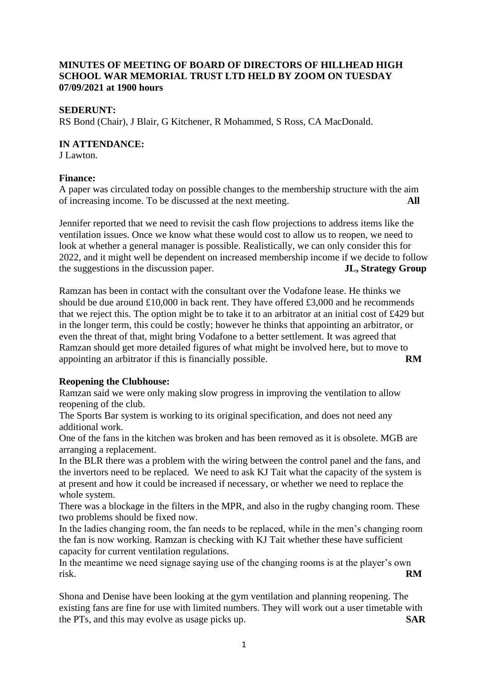## **MINUTES OF MEETING OF BOARD OF DIRECTORS OF HILLHEAD HIGH SCHOOL WAR MEMORIAL TRUST LTD HELD BY ZOOM ON TUESDAY 07/09/2021 at 1900 hours**

### **SEDERUNT:**

RS Bond (Chair), J Blair, G Kitchener, R Mohammed, S Ross, CA MacDonald.

#### **IN ATTENDANCE:**

J Lawton.

## **Finance:**

A paper was circulated today on possible changes to the membership structure with the aim of increasing income. To be discussed at the next meeting. **All**

Jennifer reported that we need to revisit the cash flow projections to address items like the ventilation issues. Once we know what these would cost to allow us to reopen, we need to look at whether a general manager is possible. Realistically, we can only consider this for 2022, and it might well be dependent on increased membership income if we decide to follow the suggestions in the discussion paper. **JL, Strategy Group**

Ramzan has been in contact with the consultant over the Vodafone lease. He thinks we should be due around  $\pounds10,000$  in back rent. They have offered  $\pounds3,000$  and he recommends that we reject this. The option might be to take it to an arbitrator at an initial cost of £429 but in the longer term, this could be costly; however he thinks that appointing an arbitrator, or even the threat of that, might bring Vodafone to a better settlement. It was agreed that Ramzan should get more detailed figures of what might be involved here, but to move to appointing an arbitrator if this is financially possible. **RM** 

# **Reopening the Clubhouse:**

Ramzan said we were only making slow progress in improving the ventilation to allow reopening of the club.

The Sports Bar system is working to its original specification, and does not need any additional work.

One of the fans in the kitchen was broken and has been removed as it is obsolete. MGB are arranging a replacement.

In the BLR there was a problem with the wiring between the control panel and the fans, and the invertors need to be replaced. We need to ask KJ Tait what the capacity of the system is at present and how it could be increased if necessary, or whether we need to replace the whole system.

There was a blockage in the filters in the MPR, and also in the rugby changing room. These two problems should be fixed now.

In the ladies changing room, the fan needs to be replaced, while in the men's changing room the fan is now working. Ramzan is checking with KJ Tait whether these have sufficient capacity for current ventilation regulations.

In the meantime we need signage saying use of the changing rooms is at the player's own risk. **RM**

Shona and Denise have been looking at the gym ventilation and planning reopening. The existing fans are fine for use with limited numbers. They will work out a user timetable with the PTs, and this may evolve as usage picks up. **SAR**